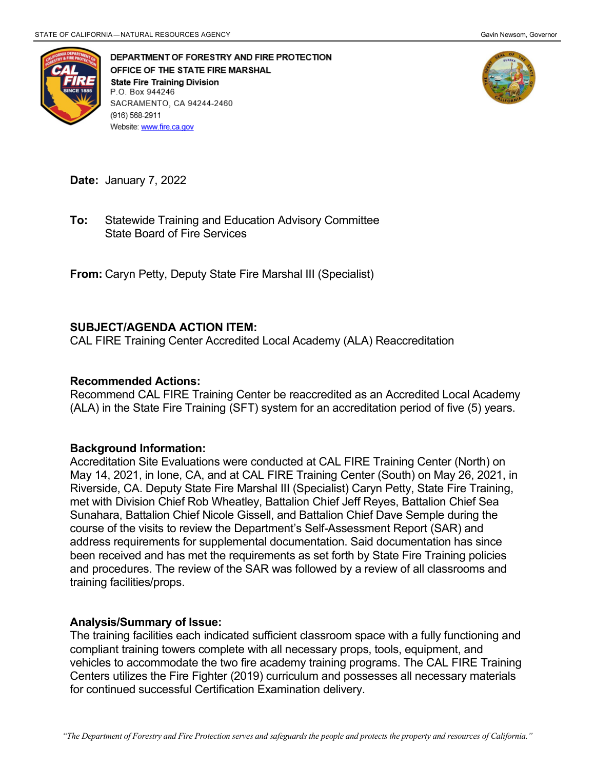

DEPARTMENT OF FORESTRY AND FIRE PROTECTION OFFICE OF THE STATE FIRE MARSHAL **State Fire Training Division** P.O. Box 944246 SACRAMENTO, CA 94244-2460 (916) 568-2911 Website: www.fire.ca.gov



**Date:** January 7, 2022

 State Board of Fire Services **To:** Statewide Training and Education Advisory Committee

**From:** Caryn Petty, Deputy State Fire Marshal III (Specialist)

## **SUBJECT/AGENDA ACTION ITEM:**

CAL FIRE Training Center Accredited Local Academy (ALA) Reaccreditation

## **Recommended Actions:**

 Recommend CAL FIRE Training Center be reaccredited as an Accredited Local Academy (ALA) in the State Fire Training (SFT) system for an accreditation period of five (5) years.

## **Background Information:**

 May 14, 2021, in Ione, CA, and at CAL FIRE Training Center (South) on May 26, 2021, in met with Division Chief Rob Wheatley, Battalion Chief Jeff Reyes, Battalion Chief Sea Sunahara, Battalion Chief Nicole Gissell, and Battalion Chief Dave Semple during the course of the visits to review the Department's Self-Assessment Report (SAR) and been received and has met the requirements as set forth by State Fire Training policies and procedures. The review of the SAR was followed by a review of all classrooms and Accreditation Site Evaluations were conducted at CAL FIRE Training Center (North) on Riverside, CA. Deputy State Fire Marshal III (Specialist) Caryn Petty, State Fire Training, address requirements for supplemental documentation. Said documentation has since training facilities/props.

## **Analysis/Summary of Issue:**

 The training facilities each indicated sufficient classroom space with a fully functioning and Centers utilizes the Fire Fighter (2019) curriculum and possesses all necessary materials for continued successful Certification Examination delivery. compliant training towers complete with all necessary props, tools, equipment, and vehicles to accommodate the two fire academy training programs. The CAL FIRE Training